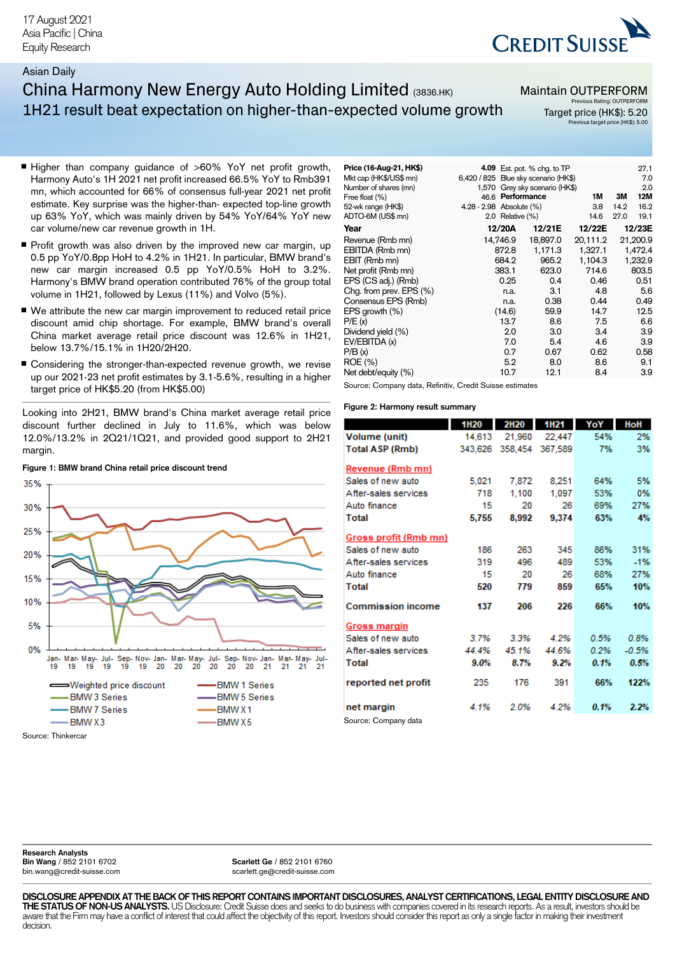## Asian Daily

# China Harmony New Energy Auto Holding Limited (3836.HK) 1H21 result beat expectation on higher-than-expected volume growth

## Maintain OUTPERFORM

 $\overline{AB}$  Est. pot.  $\frac{0}{2}$  chg. to TP 27.1

**CREDIT SUISS** 

**Pus Rating: OUTPERFORM** Target price (HK\$): 5.20 Previous target price (HK\$): 5.00

- Higher than company guidance of >60% YoY net profit growth, Harmony Auto's 1H 2021 net profit increased 66.5% YoY to Rmb391 mn, which accounted for 66% of consensus full-year 2021 net profit estimate. Key surprise was the higher-than- expected top-line growth up 63% YoY, which was mainly driven by 54% YoY/64% YoY new car volume/new car revenue growth in 1H.
- $\blacksquare$  Profit growth was also driven by the improved new car margin, up 0.5 pp YoY/0.8pp HoH to 4.2% in 1H21. In particular, BMW brand's new car margin increased 0.5 pp YoY/0.5% HoH to 3.2%. Harmony's BMW brand operation contributed 76% of the group total volume in 1H21, followed by Lexus (11%) and Volvo (5%).
- We attribute the new car margin improvement to reduced retail price discount amid chip shortage. For example, BMW brand's overall China market average retail price discount was 12.6% in 1H21, below 13.7%/15.1% in 1H20/2H20.
- Considering the stronger-than-expected revenue growth, we revise up our 2021-23 net profit estimates by 3.1-5.6%, resulting in a higher target price of HK\$5.20 (from HK\$5.00)

Looking into 2H21, BMW brand's China market average retail price discount further declined in July to 11.6%, which was below 12.0%/13.2% in 2Q21/1Q21, and provided good support to 2H21 margin.



## **Figure 1: BMW brand China retail price discount trend**

|                         |                          |                  |                                      |          |      | ---      |
|-------------------------|--------------------------|------------------|--------------------------------------|----------|------|----------|
| Mkt cap (HK\$/US\$ mn)  |                          |                  | 6,420 / 825 Blue sky scenario (HK\$) |          |      | 7.0      |
| Number of shares (mn)   |                          |                  | 1,570 Grey sky scenario (HK\$)       |          |      | 2.0      |
| Free float (%)          | 46.6                     |                  | Performance                          | 1M       | ЗM   | 12M      |
| 52-wk range (HK\$)      | 4.28 - 2.98 Absolute (%) |                  |                                      | 3.8      | 14.2 | 16.2     |
| ADTO-6M (US\$ mn)       |                          | 2.0 Relative (%) |                                      | 14.6     | 27.0 | 19.1     |
| Year                    |                          | 12/20A           | 12/21E                               | 12/22E   |      | 12/23E   |
| Revenue (Rmb mn)        |                          | 14,746.9         | 18,897.0                             | 20,111.2 |      | 21,200.9 |
| EBITDA (Rmb mn)         |                          | 872.8            | 1,171.3                              | 1.327.1  |      | 1,472.4  |
| EBIT (Rmb mn)           |                          | 684.2            | 965.2                                | 1,104.3  |      | 1,232.9  |
| Net profit (Rmb mn)     |                          | 383.1            | 623.0                                | 714.6    |      | 803.5    |
| EPS (CS adj.) (Rmb)     |                          | 0.25             | 0.4                                  | 0.46     |      | 0.51     |
| Chg. from prev. EPS (%) |                          | n.a.             | 3.1                                  | 4.8      |      | 5.6      |
| Consensus EPS (Rmb)     |                          | n.a.             | 0.38                                 | 0.44     |      | 0.49     |
| EPS growth (%)          |                          | (14.6)           | 59.9                                 | 14.7     |      | 12.5     |
| P/E(x)                  |                          | 13.7             | 8.6                                  | 7.5      |      | 6.6      |
| Dividend yield (%)      |                          | 2.0              | 3.0                                  | 3.4      |      | 3.9      |
| EV/EBITDA (x)           |                          | 7.0              | 5.4                                  | 4.6      |      | 3.9      |
| P/B(x)                  |                          | 0.7              | 0.67                                 | 0.62     |      | 0.58     |
| ROE (%)                 |                          | 5.2              | 8.0                                  | 8.6      |      | 9.1      |
| Net debt/equity (%)     |                          | 10.7             | 12.1                                 | 8.4      |      | 3.9      |
|                         |                          |                  |                                      |          |      |          |

Source: Company data, Refinitiv, Credit Suisse estimates

### **Figure 2: Harmony result summary**

**Price (16-Aug-21, HK\$)** 

|                          | 1H20    | <b>2H20</b> | 1H21    | YoY  | HoH     |
|--------------------------|---------|-------------|---------|------|---------|
| Volume (unit)            | 14,613  | 21,960      | 22,447  | 54%  | 2%      |
| Total ASP (Rmb)          | 343.626 | 358.454     | 367.589 | 7%   | 3%      |
| Revenue (Rmb mn)         |         |             |         |      |         |
| Sales of new auto        | 5,021   | 7,872       | 8,251   | 64%  | 5%      |
| After-sales services     | 718     | 1,100       | 1.097   | 53%  | 0%      |
| Auto finance             | 15      | 20          | 26      | 69%  | 27%     |
| Total                    | 5,755   | 8.992       | 9,374   | 63%  | 4%      |
| Gross profit (Rmb mn)    |         |             |         |      |         |
| Sales of new auto        | 186     | 263         | 345     | 86%  | 31%     |
| After-sales services     | 319     | 496         | 489     | 53%  | $-1%$   |
| Auto finance             | 15      | 20          | 26      | 68%  | 27%     |
| Total                    | 520     | 779         | 859     | 65%  | 10%     |
| <b>Commission income</b> | 137     | 206         | 226     | 66%  | 10%     |
| Gross margin             |         |             |         |      |         |
| Sales of new auto        | 3.7%    | 3.3%        | 4.2%    | 0.5% | 0.8%    |
| After-sales services     | 44.4%   | 45.1%       | 44.6%   | 0.2% | $-0.5%$ |
| Total                    | $9.0\%$ | 8.7%        | $9.2\%$ | 0.1% | 0.5%    |
| reported net profit      | 235     | 176         | 391     | 66%  | 122%    |
| net margin               | 4.1%    | 2.0%        | 4.2%    | 0.1% | 2.2%    |
| Source: Company data     |         |             |         |      |         |

**Research Analysts Bin Wang** / 852 2101 6702 [bin.wang@credit-suisse.com](mailto:bin.wang@credit-suisse.com)

**Scarlett Ge** / 852 2101 6760 [scarlett.ge@credit-suisse.com](mailto:scarlett.ge@credit-suisse.com)

**DISCLOSURE APPENDIX AT THE BACK OF THIS REPORT CONTAINS IMPORTANT DISCLOSURES, ANALYST CERTIFICATIONS, LEGAL ENTITY DISCLOSURE AND THE STATUS OF NON-US ANALYSTS.**US Disclosure: Credit Suisse does and seeks to do business with companies covered in its research reports. As a result, investors should be aware that the Firm may have a conflict of interest that could affect the objectivity of this report. Investors should consider this report as only a single factor in making their investment decision.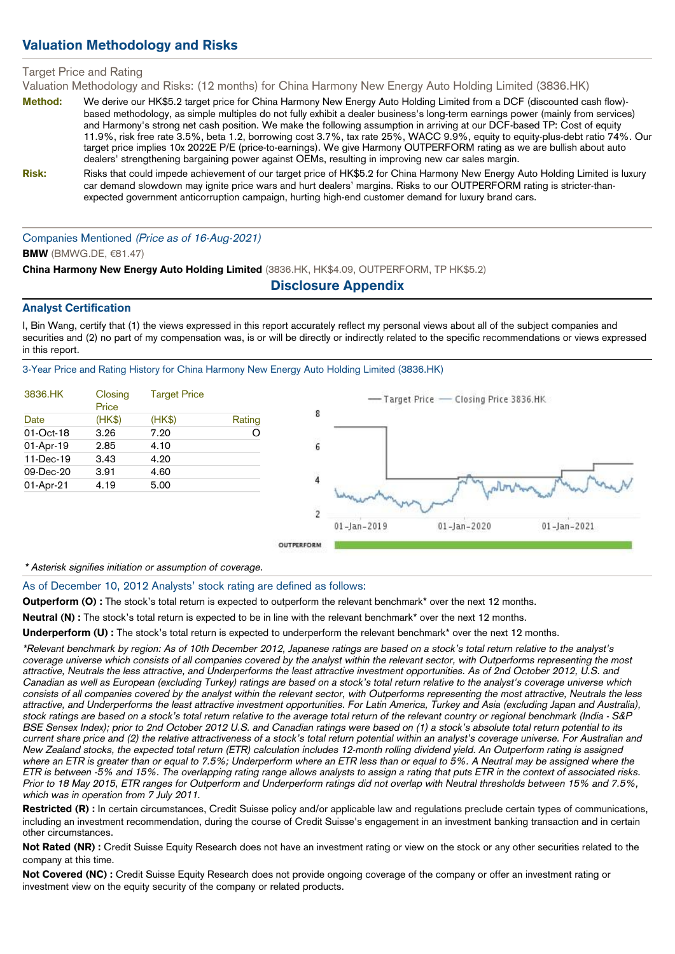## Valuation Methodology and Risks

## Target Price and Rating

Valuation Methodology and Risks: (12 months) for China Harmony New Energy Auto Holding Limited (3836.HK)

- Method: We derive our HK\$5.2 target price for China Harmony New Energy Auto Holding Limited from a DCF (discounted cash flow)based methodology, as simple multiples do not fully exhibit a dealer business's long-term earnings power (mainly from services) and Harmony's strong net cash position. We make the following assumption in arriving at our DCF-based TP: Cost of equity 11.9%, risk free rate 3.5%, beta 1.2, borrowing cost 3.7%, tax rate 25%, WACC 9.9%, equity to equity-plus-debt ratio 74%. Our target price implies 10x 2022E P/E (price-to-earnings). We give Harmony OUTPERFORM rating as we are bullish about auto dealers' strengthening bargaining power against OEMs, resulting in improving new car sales margin.
- Risk: Risks that could impede achievement of our target price of HK\$5.2 for China Harmony New Energy Auto Holding Limited is luxury car demand slowdown may ignite price wars and hurt dealers' margins. Risks to our OUTPERFORM rating is stricter-thanexpected government anticorruption campaign, hurting high-end customer demand for luxury brand cars.

Companies Mentioned (Price as of 16-Aug-2021)

## **BMW** (BMWG.DE, €81.47)

China Harmony New Energy Auto Holding Limited (3836.HK, HK\$4.09, OUTPERFORM, TP HK\$5.2)

## Disclosure Appendix

## Analyst Certification

I, Bin Wang, certify that (1) the views expressed in this report accurately reflect my personal views about all of the subject companies and securities and (2) no part of my compensation was, is or will be directly or indirectly related to the specific recommendations or views expressed in this report.

3-Year Price and Rating History for China Harmony New Energy Auto Holding Limited (3836.HK)

| 3836.HK      | Closing<br>Price | <b>Target Price</b> |        |
|--------------|------------------|---------------------|--------|
| Date         | (HK\$)           | (HK\$)              | Rating |
| $01$ -Oct-18 | 3.26             | 7.20                |        |
| 01-Apr-19    | 2.85             | 4.10                |        |
| 11-Dec-19    | 3.43             | 4.20                |        |
| 09-Dec-20    | 3.91             | 4.60                |        |
| 01-Apr-21    | 4.19             | 5.00                |        |



\* Asterisk signifies initiation or assumption of coverage.

As of December 10, 2012 Analysts' stock rating are defined as follows:

Outperform (O) : The stock's total return is expected to outperform the relevant benchmark\* over the next 12 months.

Neutral (N) : The stock's total return is expected to be in line with the relevant benchmark\* over the next 12 months.

Underperform (U): The stock's total return is expected to underperform the relevant benchmark\* over the next 12 months.

\*Relevant benchmark by region: As of 10th December 2012, Japanese ratings are based on a stock's total return relative to the analyst's coverage universe which consists of all companies covered by the analyst within the relevant sector, with Outperforms representing the most attractive, Neutrals the less attractive, and Underperforms the least attractive investment opportunities. As of 2nd October 2012, U.S. and Canadian as well as European (excluding Turkey) ratings are based on a stock's total return relative to the analyst's coverage universe which consists of all companies covered by the analyst within the relevant sector, with Outperforms representing the most attractive, Neutrals the less attractive, and Underperforms the least attractive investment opportunities. For Latin America, Turkey and Asia (excluding Japan and Australia), stock ratings are based on a stock's total return relative to the average total return of the relevant country or regional benchmark (India - S&P) BSE Sensex Index); prior to 2nd October 2012 U.S. and Canadian ratings were based on (1) a stock's absolute total return potential to its current share price and (2) the relative attractiveness of a stock's total return potential within an analyst's coverage universe. For Australian and New Zealand stocks, the expected total return (ETR) calculation includes 12-month rolling dividend yield. An Outperform rating is assigned where an ETR is greater than or equal to 7.5%; Underperform where an ETR less than or equal to 5%. A Neutral may be assigned where the ETR is between -5% and 15%. The overlapping rating range allows analysts to assign a rating that puts ETR in the context of associated risks. Prior to 18 May 2015, ETR ranges for Outperform and Underperform ratings did not overlap with Neutral thresholds between 15% and 7.5%, which was in operation from 7 July 2011.

Restricted (R) : In certain circumstances, Credit Suisse policy and/or applicable law and regulations preclude certain types of communications, including an investment recommendation, during the course of Credit Suisse's engagement in an investment banking transaction and in certain other circumstances.

Not Rated (NR) : Credit Suisse Equity Research does not have an investment rating or view on the stock or any other securities related to the company at this time.

Not Covered (NC) : Credit Suisse Equity Research does not provide ongoing coverage of the company or offer an investment rating or investment view on the equity security of the company or related products.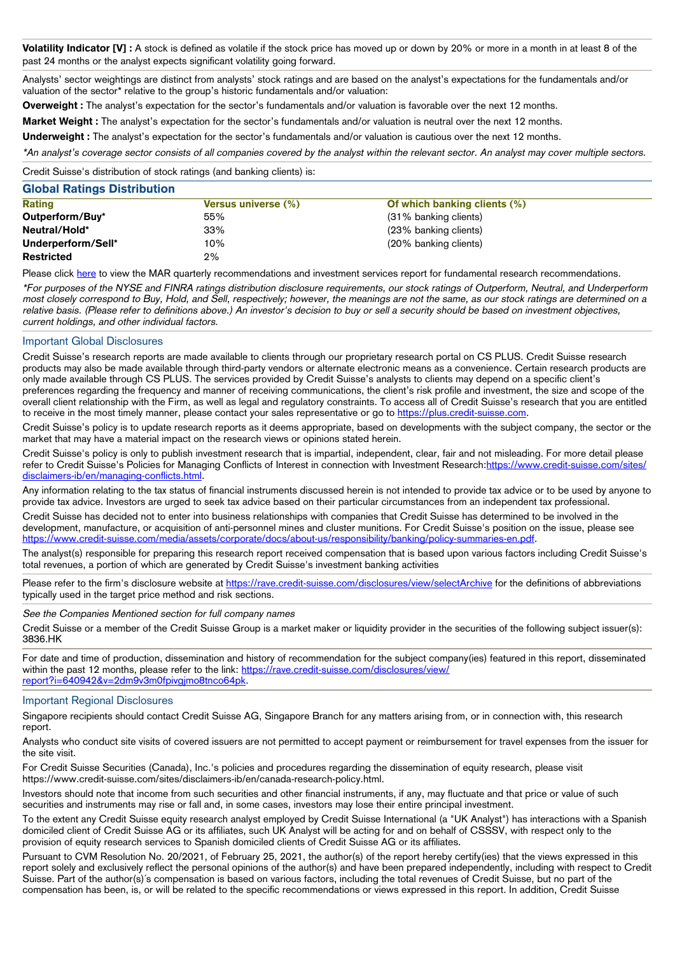Volatility Indicator [V] : A stock is defined as volatile if the stock price has moved up or down by 20% or more in a month in at least 8 of the past 24 months or the analyst expects significant volatility going forward.

Analysts' sector weightings are distinct from analysts' stock ratings and are based on the analyst's expectations for the fundamentals and/or valuation of the sector\* relative to the group's historic fundamentals and/or valuation:

**Overweight :** The analyst's expectation for the sector's fundamentals and/or valuation is favorable over the next 12 months.

Market Weight : The analyst's expectation for the sector's fundamentals and/or valuation is neutral over the next 12 months.

Underweight: The analyst's expectation for the sector's fundamentals and/or valuation is cautious over the next 12 months.

\*An analyst's coverage sector consists of all companies covered by the analyst within the relevant sector. An analyst may cover multiple sectors.

Credit Suisse's distribution of stock ratings (and banking clients) is:

## Global Ratings Distribution

| <b>Rating</b>      | <b>Versus universe (%)</b> | Of which banking clients $(\%)$ |  |
|--------------------|----------------------------|---------------------------------|--|
| Outperform/Buy*    | 55%                        | (31% banking clients)           |  |
| Neutral/Hold*      | 33%                        | (23% banking clients)           |  |
| Underperform/Sell* | 10%                        | (20% banking clients)           |  |
| <b>Restricted</b>  | 2%                         |                                 |  |

Please click [here](https://rave.credit-suisse.com/disclosures/view/quarterlyrecommendations) to view the MAR quarterly recommendations and investment services report for fundamental research recommendations.

\*For purposes of the NYSE and FINRA ratings distribution disclosure requirements, our stock ratings of Outperform, Neutral, and Underperform most closely correspond to Buy, Hold, and Sell, respectively; however, the meanings are not the same, as our stock ratings are determined on a relative basis. (Please refer to definitions above.) An investor's decision to buy or sell a security should be based on investment objectives, current holdings, and other individual factors.

## Important Global Disclosures

Credit Suisse's research reports are made available to clients through our proprietary research portal on CS PLUS. Credit Suisse research products may also be made available through third-party vendors or alternate electronic means as a convenience. Certain research products are only made available through CS PLUS. The services provided by Credit Suisse's analysts to clients may depend on a specific client's preferences regarding the frequency and manner of receiving communications, the client's risk profile and investment, the size and scope of the overall client relationship with the Firm, as well as legal and regulatory constraints. To access all of Credit Suisse's research that you are entitled to receive in the most timely manner, please contact your sales representative or go to [https://plus.credit-suisse.com](https://plus.credit-suisse.com/).

Credit Suisse's policy is to update research reports as it deems appropriate, based on developments with the subject company, the sector or the market that may have a material impact on the research views or opinions stated herein.

Credit Suisse's policy is only to publish investment research that is impartial, independent, clear, fair and not misleading. For more detail please refer to Credit Suisse's Policies for Managing Conflicts of Interest in connection with Investment Research[:https://www.credit-suisse.com/sites/](https://www.credit-suisse.com/sites/disclaimers-ib/en/managing-conflicts.html) [disclaimers-ib/en/managing-conflicts.html.](https://www.credit-suisse.com/sites/disclaimers-ib/en/managing-conflicts.html)

Any information relating to the tax status of financial instruments discussed herein is not intended to provide tax advice or to be used by anyone to provide tax advice. Investors are urged to seek tax advice based on their particular circumstances from an independent tax professional.

Credit Suisse has decided not to enter into business relationships with companies that Credit Suisse has determined to be involved in the development, manufacture, or acquisition of anti-personnel mines and cluster munitions. For Credit Suisse's position on the issue, please see [https://www.credit-suisse.com/media/assets/corporate/docs/about-us/responsibility/banking/policy-summaries-en.pdf.](https://www.credit-suisse.com/media/assets/corporate/docs/about-us/responsibility/banking/policy-summaries-en.pdf)

The analyst(s) responsible for preparing this research report received compensation that is based upon various factors including Credit Suisse's total revenues, a portion of which are generated by Credit Suisse's investment banking activities

Please refer to the firm's disclosure website at <https://rave.credit-suisse.com/disclosures/view/selectArchive> for the definitions of abbreviations typically used in the target price method and risk sections.

See the Companies Mentioned section for full company names

Credit Suisse or a member of the Credit Suisse Group is a market maker or liquidity provider in the securities of the following subject issuer(s): 3836.HK

For date and time of production, dissemination and history of recommendation for the subject company(ies) featured in this report, disseminated within the past 12 months, please refer to the link: [https://rave.credit-suisse.com/disclosures/view/](https://rave.credit-suisse.com/disclosures/view/report?i=640942&v=2dm9v3m0fpivgjmo8tnco64pk) report?i=640942&v=2dm9v3m0fpivgimo8tnco64pk.

## Important Regional Disclosures

Singapore recipients should contact Credit Suisse AG, Singapore Branch for any matters arising from, or in connection with, this research report.

Analysts who conduct site visits of covered issuers are not permitted to accept payment or reimbursement for travel expenses from the issuer for the site visit.

For Credit Suisse Securities (Canada), Inc.'s policies and procedures regarding the dissemination of equity research, please visit https://www.credit-suisse.com/sites/disclaimers-ib/en/canada-research-policy.html.

Investors should note that income from such securities and other financial instruments, if any, may fluctuate and that price or value of such securities and instruments may rise or fall and, in some cases, investors may lose their entire principal investment.

To the extent any Credit Suisse equity research analyst employed by Credit Suisse International (a "UK Analyst") has interactions with a Spanish domiciled client of Credit Suisse AG or its affiliates, such UK Analyst will be acting for and on behalf of CSSSV, with respect only to the provision of equity research services to Spanish domiciled clients of Credit Suisse AG or its affiliates.

Pursuant to CVM Resolution No. 20/2021, of February 25, 2021, the author(s) of the report hereby certify(ies) that the views expressed in this report solely and exclusively reflect the personal opinions of the author(s) and have been prepared independently, including with respect to Credit Suisse. Part of the author(s)´s compensation is based on various factors, including the total revenues of Credit Suisse, but no part of the compensation has been, is, or will be related to the specific recommendations or views expressed in this report. In addition, Credit Suisse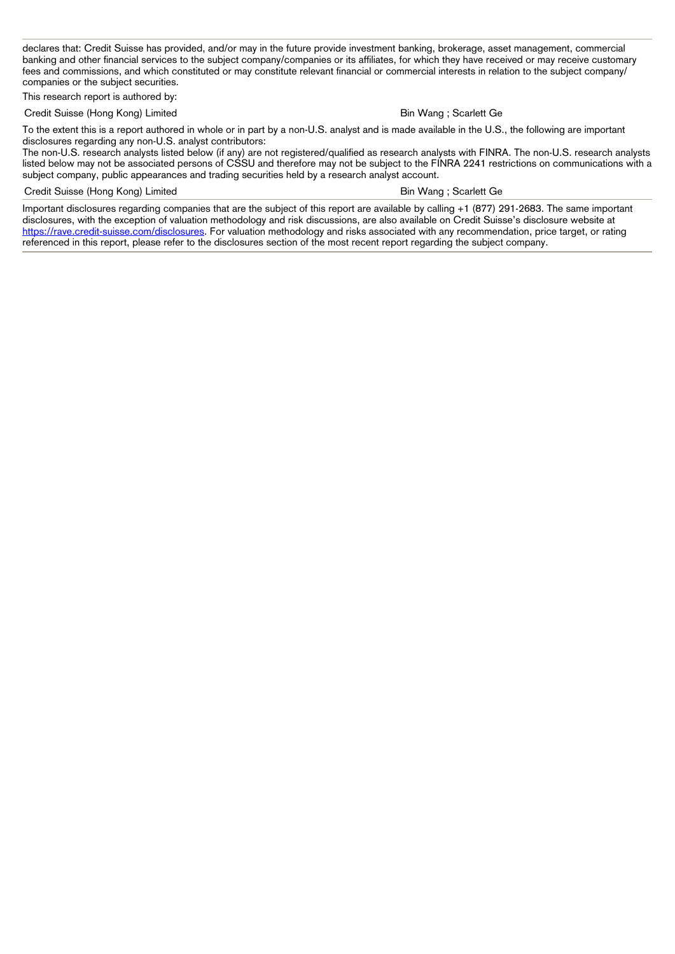declares that: Credit Suisse has provided, and/or may in the future provide investment banking, brokerage, asset management, commercial banking and other financial services to the subject company/companies or its affiliates, for which they have received or may receive customary fees and commissions, and which constituted or may constitute relevant financial or commercial interests in relation to the subject company/ companies or the subject securities.

This research report is authored by:

Credit Suisse (Hong Kong) Limited **Bin Wang is a struck of the Suisse Credit Suisse (Hong Kong)** Limited **Bin Wang ; Scarlett Ge** 

To the extent this is a report authored in whole or in part by a non-U.S. analyst and is made available in the U.S., the following are important disclosures regarding any non-U.S. analyst contributors:

The non-U.S. research analysts listed below (if any) are not registered/qualified as research analysts with FINRA. The non-U.S. research analysts listed below may not be associated persons of CSSU and therefore may not be subject to the FINRA 2241 restrictions on communications with a subject company, public appearances and trading securities held by a research analyst account.

## Credit Suisse (Hong Kong) Limited **Bin Wang is a struck of the Scarlett Ge** Bin Wang ; Scarlett Ge

Important disclosures regarding companies that are the subject of this report are available by calling +1 (877) 291-2683. The same important disclosures, with the exception of valuation methodology and risk discussions, are also available on Credit Suisse's disclosure website at <https://rave.credit-suisse.com/disclosures>. For valuation methodology and risks associated with any recommendation, price target, or rating referenced in this report, please refer to the disclosures section of the most recent report regarding the subject company.